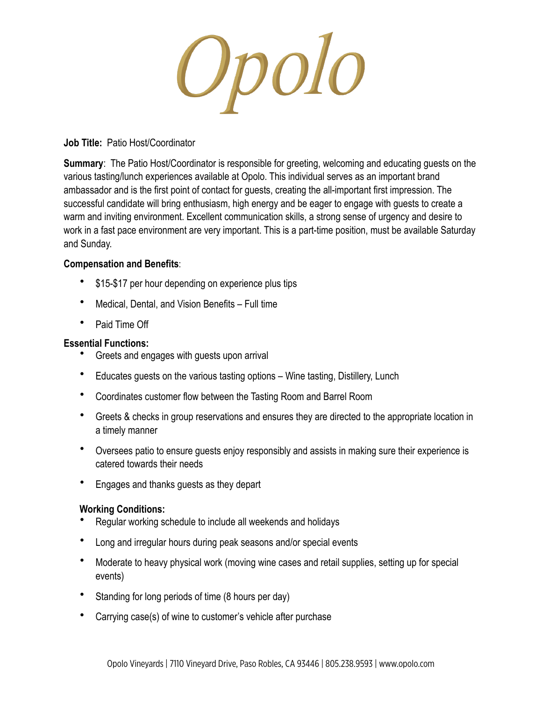Opolo

# **Job Title:** Patio Host/Coordinator

**Summary:** The Patio Host/Coordinator is responsible for greeting, welcoming and educating guests on the various tasting/lunch experiences available at Opolo. This individual serves as an important brand ambassador and is the first point of contact for guests, creating the all-important first impression. The successful candidate will bring enthusiasm, high energy and be eager to engage with guests to create a warm and inviting environment. Excellent communication skills, a strong sense of urgency and desire to work in a fast pace environment are very important. This is a part-time position, must be available Saturday and Sunday.

## **Compensation and Benefits**:

- \$15-\$17 per hour depending on experience plus tips
- Medical, Dental, and Vision Benefits Full time
- Paid Time Off

# **Essential Functions:**

- Greets and engages with guests upon arrival
- Educates guests on the various tasting options Wine tasting, Distillery, Lunch
- Coordinates customer flow between the Tasting Room and Barrel Room
- Greets & checks in group reservations and ensures they are directed to the appropriate location in a timely manner
- Oversees patio to ensure guests enjoy responsibly and assists in making sure their experience is catered towards their needs
- Engages and thanks guests as they depart

# **Working Conditions:**

- Regular working schedule to include all weekends and holidays
- Long and irregular hours during peak seasons and/or special events
- Moderate to heavy physical work (moving wine cases and retail supplies, setting up for special events)
- Standing for long periods of time (8 hours per day)
- Carrying case(s) of wine to customer's vehicle after purchase